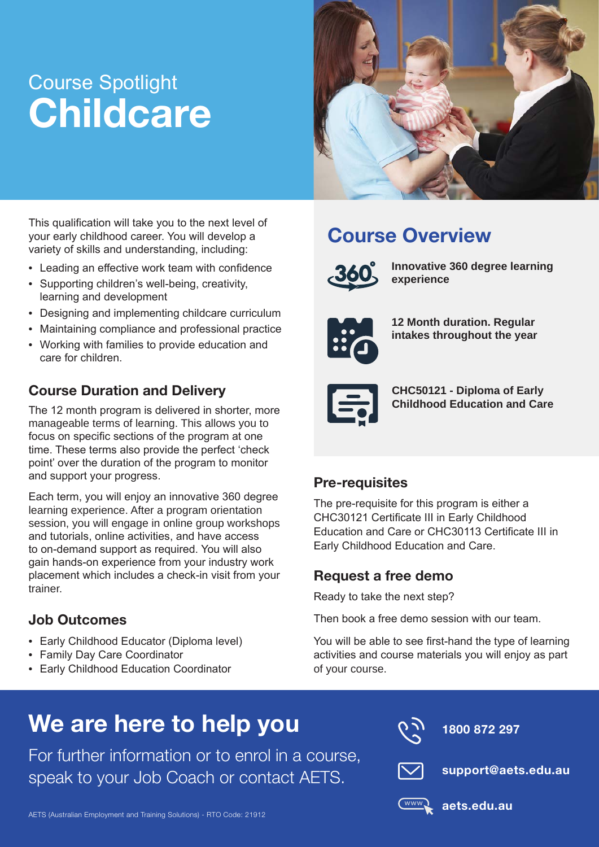# Course Spotlight **Childcare**



This qualification will take you to the next level of your early childhood career. You will develop a variety of skills and understanding, including:

- Leading an effective work team with confidence
- Supporting children's well-being, creativity, learning and development
- Designing and implementing childcare curriculum
- Maintaining compliance and professional practice
- Working with families to provide education and care for children.

### Course Duration and Delivery

The 12 month program is delivered in shorter, more manageable terms of learning. This allows you to focus on specific sections of the program at one time. These terms also provide the perfect 'check point' over the duration of the program to monitor and support your progress.

Each term, you will enjoy an innovative 360 degree learning experience. After a program orientation session, you will engage in online group workshops and tutorials, online activities, and have access to on-demand support as required. You will also gain hands-on experience from your industry work placement which includes a check-in visit from your trainer.

#### Job Outcomes

- Early Childhood Educator (Diploma level)
- Family Day Care Coordinator
- Early Childhood Education Coordinator

### Course Overview



**Innovative 360 degree learning experience**



**12 Month duration. Regular intakes throughout the year**



**CHC50121 - Diploma of Early Childhood Education and Care**

#### Pre-requisites

The pre-requisite for this program is either a CHC30121 Certificate III in Early Childhood Education and Care or CHC30113 Certificate III in Early Childhood Education and Care.

#### Request a free demo

Ready to take the next step?

Then book a free demo session with our team.

You will be able to see first-hand the type of learning activities and course materials you will enjoy as part of your course.

## We are here to help you

For further information or to enrol in a course, speak to your Job Coach or contact AETS.



1800 872 297



support@aets.edu.au



aets.edu.au